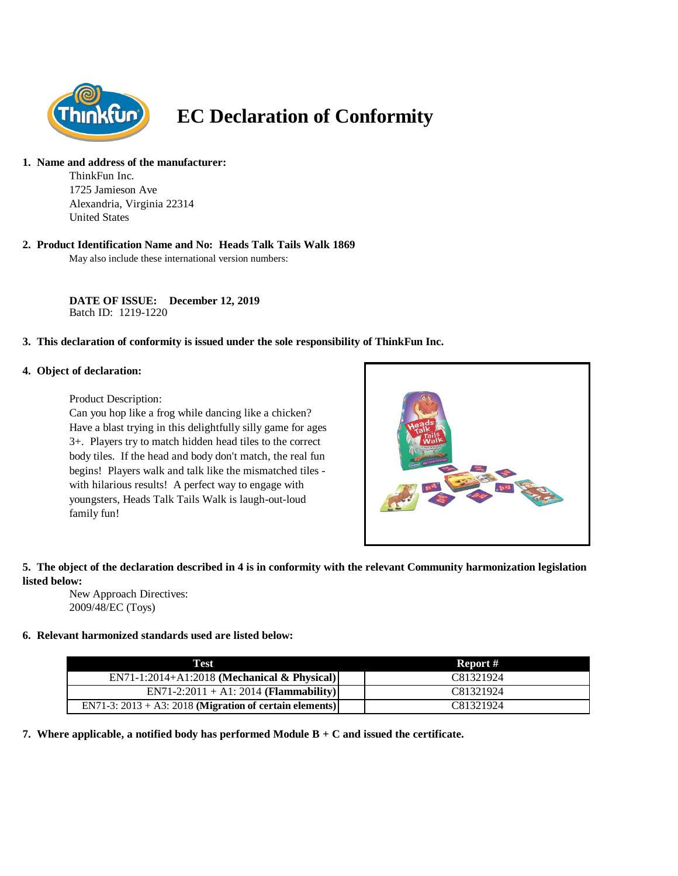

# **EC Declaration of Conformity**

## **1. Name and address of the manufacturer:**

ThinkFun Inc. 1725 Jamieson Ave Alexandria, Virginia 22314 United States

## **2. Product Identification Name and No: Heads Talk Tails Walk 1869**

May also include these international version numbers:

**DATE OF ISSUE: December 12, 2019** Batch ID: 1219-1220

## **3. This declaration of conformity is issued under the sole responsibility of ThinkFun Inc.**

#### **4. Object of declaration:**

Product Description:

Can you hop like a frog while dancing like a chicken? Have a blast trying in this delightfully silly game for ages 3+. Players try to match hidden head tiles to the correct body tiles. If the head and body don't match, the real fun begins! Players walk and talk like the mismatched tiles with hilarious results! A perfect way to engage with youngsters, Heads Talk Tails Walk is laugh-out-loud family fun!



## **5. The object of the declaration described in 4 is in conformity with the relevant Community harmonization legislation listed below:**

New Approach Directives: 2009/48/EC (Toys)

## **6. Relevant harmonized standards used are listed below:**

| Test                                                       | Report #  |
|------------------------------------------------------------|-----------|
| $EN71-1:2014+A1:2018$ (Mechanical & Physical)              | C81321924 |
| $EN71-2:2011 + A1:2014 (Flammaibility)$                    | C81321924 |
| EN71-3: $2013 + A3$ : 2018 (Migration of certain elements) | C81321924 |

**7. Where applicable, a notified body has performed Module B + C and issued the certificate.**